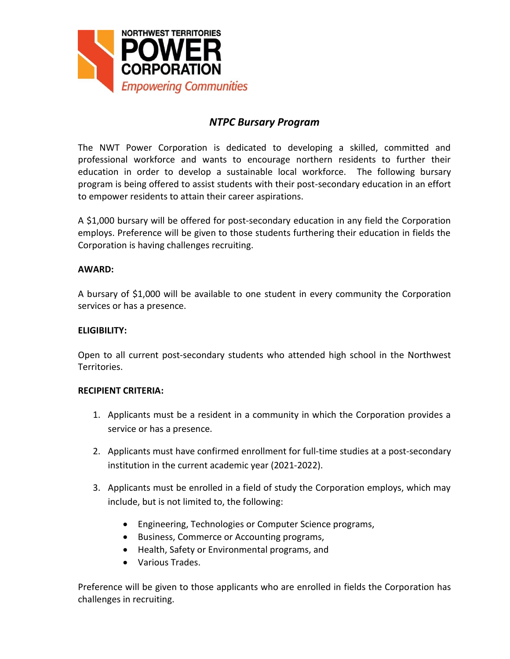

# *NTPC Bursary Program*

The NWT Power Corporation is dedicated to developing a skilled, committed and professional workforce and wants to encourage northern residents to further their education in order to develop a sustainable local workforce. The following bursary program is being offered to assist students with their post-secondary education in an effort to empower residents to attain their career aspirations.

A \$1,000 bursary will be offered for post-secondary education in any field the Corporation employs. Preference will be given to those students furthering their education in fields the Corporation is having challenges recruiting.

### **AWARD:**

A bursary of \$1,000 will be available to one student in every community the Corporation services or has a presence.

### **ELIGIBILITY:**

Open to all current post-secondary students who attended high school in the Northwest Territories.

### **RECIPIENT CRITERIA:**

- 1. Applicants must be a resident in a community in which the Corporation provides a service or has a presence.
- 2. Applicants must have confirmed enrollment for full-time studies at a post-secondary institution in the current academic year (2021-2022).
- 3. Applicants must be enrolled in a field of study the Corporation employs, which may include, but is not limited to, the following:
	- Engineering, Technologies or Computer Science programs,
	- Business, Commerce or Accounting programs,
	- Health, Safety or Environmental programs, and
	- Various Trades.

Preference will be given to those applicants who are enrolled in fields the Corporation has challenges in recruiting.